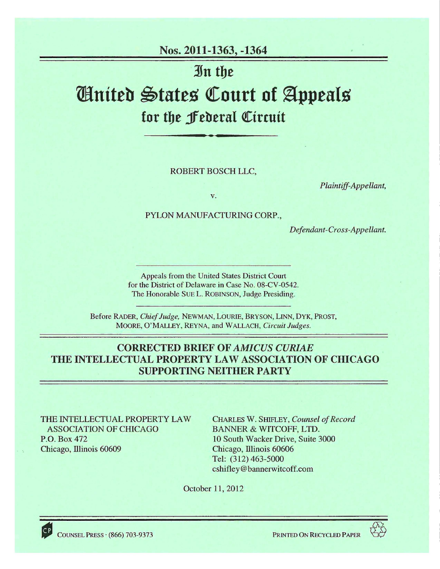# Nos. 2011-1363, -1364

·3Jn tbe

# *United States Court of Appeals* for the *f* ederal Circuit

ROBERT BOSCH LLC,

*Plaintiff-Appellant,* 

v.

PYLON MANUFACTURING CORP.,

*Defendant-Cross-Appellant.* 

Appeals from the United States District Court for the District of Delaware in Case No. 08-CV -0542. The Honorable SUE L. ROBINSON, Judge Presiding.

Before RADER, *Chief Judge,* NEWMAN, LOURIE, BRYSON, LINN, DYK, PROST, MOORE, O'MALLEY, REYNA, and WALLACH, *Circuit Judges.* 

## CORRECTED BRIEF OF *AMICUS CURIAE*  THE INTELLECTUAL PROPERTY LAW ASSOCIATION OF CHICAGO SUPPORTING NEITHER PARTY

THE INTELLECTUAL PROPERTY LAW ASSOCIATION OF CHICAGO P.O. Box472 Chicago, lllinois 60609

CHARLES W. SHIFLEY, *Counsel of Record*  BANNER & WITCOFF, LTD. 10 South Wacker Drive, Suite 3000 Chicago, Illinois 60606 Tel: (312) 463-5000 cshifley@bannerwitcoff.com

October 11, 2012

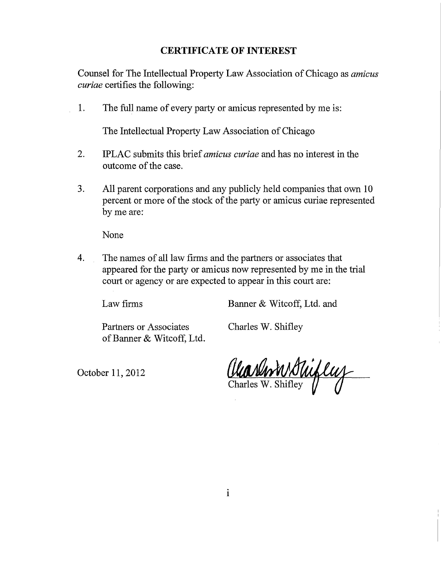## **CERTIFICATE OF INTEREST**

Counsel for The Intellectual Property Law Association of Chicago as *amicus curiae* certifies the following:

1. The full name of every party or amicus represented by me is:

The Intellectual Property Law Association of Chicago

- 2. IPLAC submits this brief *amicus curiae* and has no interest in the outcome of the case.
- 3. All parent corporations and any publicly held companies that own 10 percent or more of the stock of the party or amicus curiae represented by me are:

None

4. The names of all law firms and the partners or associates that appeared for the party or amicus now represented by me in the trial court or agency or are expected to appear in this court are:

Law firms Banner & Witcoff, Ltd. and

Partners or Associates Charles W. Shifley of Banner & Witcoff, Ltd.

October 11, 2012

Charles W. Shiftey V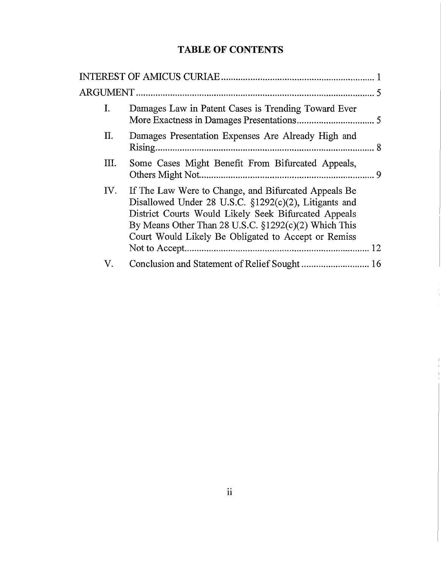# **TABLE OF CONTENTS**

| I.  | Damages Law in Patent Cases is Trending Toward Ever                                                                                                                                                                                                                                      |    |
|-----|------------------------------------------------------------------------------------------------------------------------------------------------------------------------------------------------------------------------------------------------------------------------------------------|----|
| Π.  | Damages Presentation Expenses Are Already High and                                                                                                                                                                                                                                       |    |
| Ш.  | Some Cases Might Benefit From Bifurcated Appeals,                                                                                                                                                                                                                                        |    |
| IV. | If The Law Were to Change, and Bifurcated Appeals Be<br>Disallowed Under 28 U.S.C. §1292(c)(2), Litigants and<br>District Courts Would Likely Seek Bifurcated Appeals<br>By Means Other Than 28 U.S.C. $\S 1292(c)(2)$ Which This<br>Court Would Likely Be Obligated to Accept or Remiss | 12 |
| V.  |                                                                                                                                                                                                                                                                                          |    |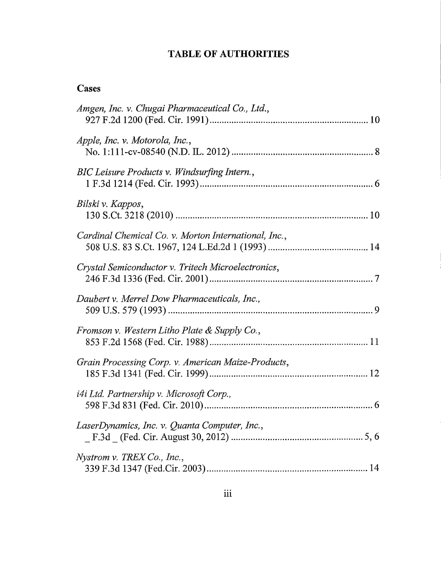# **TABLE OF AUTHORITIES**

# **Cases**

| Amgen, Inc. v. Chugai Pharmaceutical Co., Ltd.,      |  |
|------------------------------------------------------|--|
| Apple, Inc. v. Motorola, Inc.,                       |  |
| BIC Leisure Products v. Windsurfing Intern.,         |  |
| Bilski v. Kappos,                                    |  |
| Cardinal Chemical Co. v. Morton International, Inc., |  |
| Crystal Semiconductor v. Tritech Microelectronics,   |  |
| Daubert v. Merrel Dow Pharmaceuticals, Inc.,         |  |
| Fromson v. Western Litho Plate & Supply Co.,         |  |
| Grain Processing Corp. v. American Maize-Products,   |  |
| <i>i4i Ltd. Partnership v. Microsoft Corp.,</i>      |  |
| LaserDynamics, Inc. v. Quanta Computer, Inc.,        |  |
| Nystrom v. TREX Co., Inc.,                           |  |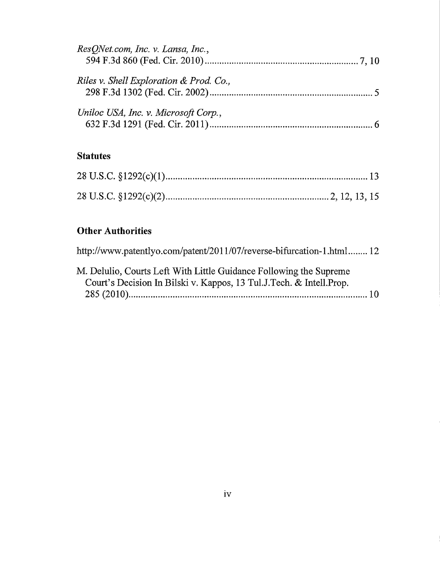| ResONet.com, Inc. v. Lansa, Inc.,       |  |
|-----------------------------------------|--|
| Riles v. Shell Exploration & Prod. Co., |  |
| Uniloc USA, Inc. v. Microsoft Corp.,    |  |

# **Statutes**

# **Other Authorities**

| http://www.patentlyo.com/patent/2011/07/reverse-bifurcation-1.html 12                                                                      |  |
|--------------------------------------------------------------------------------------------------------------------------------------------|--|
| M. Delulio, Courts Left With Little Guidance Following the Supreme<br>Court's Decision In Bilski v. Kappos, 13 Tul.J.Tech. & Intell. Prop. |  |
|                                                                                                                                            |  |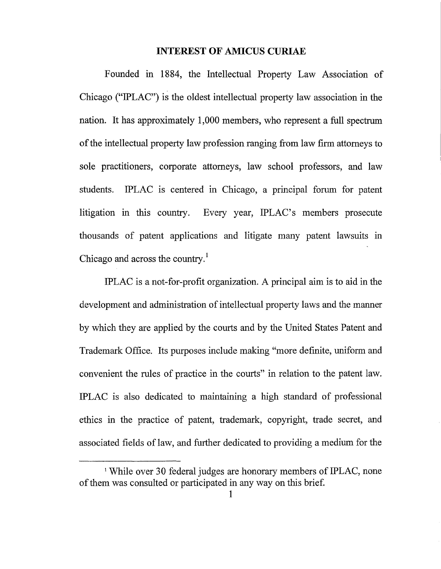#### INTEREST OF AMICUS CURIAE

Founded in 1884, the Intellectual Property Law Association of Chicago ("IPLAC") is the oldest intellectual property law association in the nation. It has approximately 1,000 members, who represent a full spectrum of the intellectual property law profession ranging from law firm attorneys to sole practitioners, corporate attorneys, law school professors, and law students. IPLAC is centered in Chicago, a principal forum for patent litigation in this country. Every year, IPLAC's members prosecute thousands of patent applications and litigate many patent lawsuits in Chicago and across the country.<sup>1</sup>

IPLAC is a not-for-profit organization. A principal aim is to aid in the development and administration of intellectual property laws and the manner by which they are applied by the courts and by the United States Patent and Trademark Office. Its purposes include making "more definite, uniform and convenient the rules of practice in the courts" in relation to the patent law. IPLAC is also dedicated to maintaining a high standard of professional ethics in the practice of patent, trademark, copyright, trade secret, and associated fields of law, and further dedicated to providing a medium for the

<sup>&</sup>lt;sup>1</sup> While over 30 federal judges are honorary members of IPLAC, none of them was consulted or participated in any way on this brief.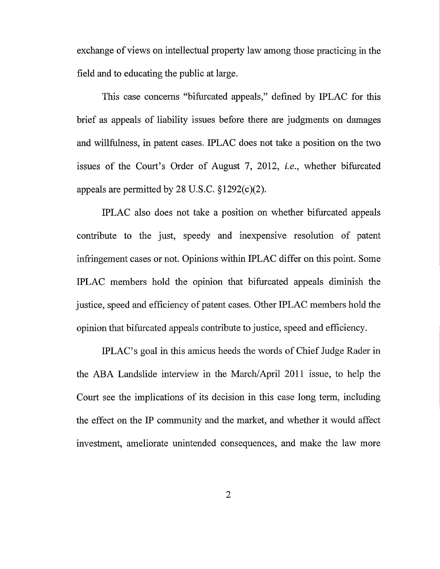exchange of views on intellectual property law among those practicing in the field and to educating the public at large.

This case concerns "bifurcated appeals," defmed by IPLAC for this brief as appeals of liability issues before there are judgments on damages and willfulness, in patent cases. IPLAC does not take a position on the two issues of the Court's Order of August 7, 2012, *i.e.,* whether bifurcated appeals are permitted by 28 U.S.C.  $\S 1292(c)(2)$ .

IPLAC also does not take a position on whether bifurcated appeals contribute to the just, speedy and inexpensive resolution of patent infringement cases or not. Opinions within IPLAC differ on this point. Some IPLAC members hold the opinion that bifurcated appeals diminish the justice, speed and efficiency of patent cases. Other IPLAC members hold the opinion that bifurcated appeals contribute to justice, speed and efficiency.

IPLAC's goal in this amicus heeds the words of Chief Judge Rader in the ABA Landslide interview in the March/ April 2011 issue, to help the Court see the implications of its decision in this case long term, including the effect on the IP community and the market, and whether it would affect investment, ameliorate unintended consequences, and make the law more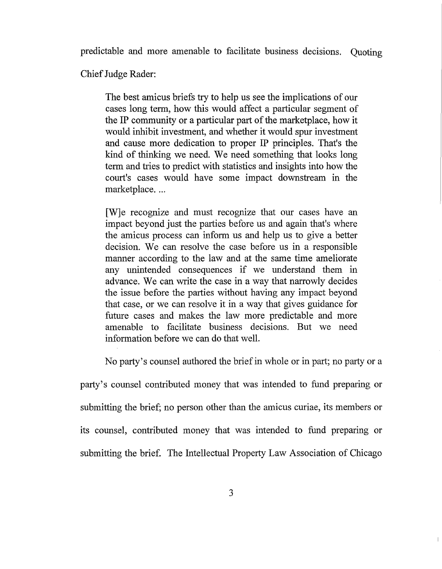predictable and more amenable to facilitate business decisions. Quoting

Chief Judge Rader:

The best amicus briefs try to help us see the implications of our cases long term, how this would affect a particular segment of the IP community or a particular part of the marketplace, how it would inhibit investment, and whether it would spur investment and cause more dedication to proper IP principles. That's the kind of thinking we need. We need something that looks long term and tries to predict with statistics and insights into how the court's cases would have some impact downstream in the marketplace...

[W]e recognize and must recognize that our cases have an impact beyond just the parties before us and again that's where the amicus process can inform us and help us to give a better decision. We can resolve the case before us in a responsible manner according to the law and at the same time ameliorate any unintended consequences if we understand them in advance. We can write the case in a way that narrowly decides the issue before the parties without having any impact beyond that case, or we can resolve it in a way that gives guidance for future cases and makes the law more predictable and more amenable to facilitate business decisions. But we need information before we can do that well.

No party's counsel authored the brief in whole or in part; no party or a

party's counsel contributed money that was intended to fund preparing or submitting the brief; no person other than the amicus curiae, its members or its counsel, contributed money that was intended to fund preparing or submitting the brief. The Intellectual Property Law Association of Chicago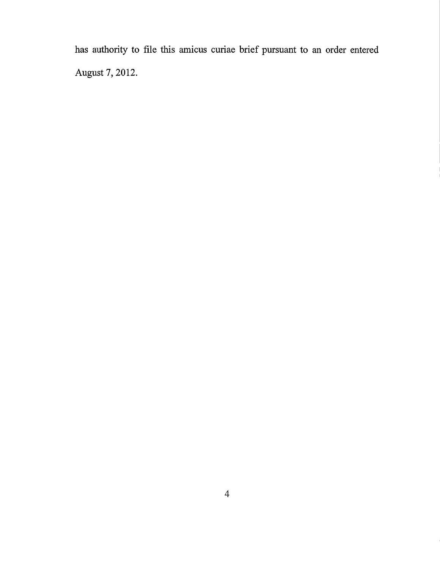has authority to file this amicus curiae brief pursuant to an order entered August 7, 2012.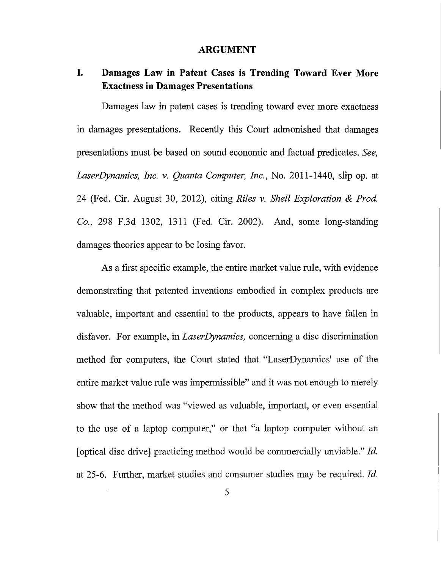#### **ARGUMENT**

## **I. Damages Law in Patent Cases is Trending Toward Ever More Exactness in Damages Presentations**

Damages law in patent cases is trending toward ever more exactness in damages presentations. Recently this Court admonished that damages presentations must be based on sound economic and factual predicates. *See, LaserDynamics, Inc. v. Quanta Computer, Inc.,* No. 2011-1440, slip op. at 24 (Fed. Cir. August 30, 2012), citing *Riles* v. *Shell Exploration & Prod. Co.,* 298 F.3d 1302, 1311 (Fed. Cir. 2002). And, some long-standing damages theories appear to be losing favor.

As a first specific example, the entire market value rule, with evidence demonstrating that patented inventions embodied in complex products are valuable, important and essential to the products, appears to have fallen in disfavor. For example, in *LaserDynamics,* concerning a disc discrimination method for computers, the Court stated that "LaserDynamics' use of the entire market value rule was impermissible" and it was not enough to merely show that the method was "viewed as valuable, important, or even essential to the use of a laptop computer," or that "a laptop computer without an [optical disc drive] practicing method would be commercially unviable." *!d.*  at 25-6. Further, market studies and consumer studies may be required. *!d.*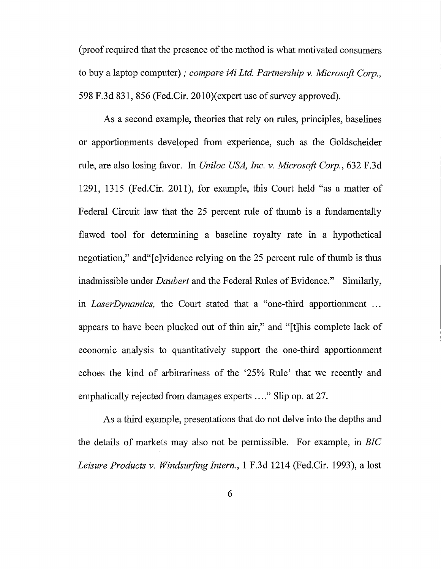(proof required that the presence of the method is what motivated consumers to buy a laptop computer); *compare i4i Ltd. Partnership v. Microsoft Corp.,*  598 F.3d 831, 856 (Fed.Cir. 2010)(expert use of survey approved).

As a second example, theories that rely on rules, principles, baselines or apportionments developed from experience, such as the Goldscheider rule, are also losing favor. In *Uniloc USA, Inc. v. Microsoft Corp.,* 632 F.3d 1291, 1315 (Fed.Cir. 2011), for example, this Court held "as a matter of Federal Circuit law that the 25 percent rule of thumb is a fundamentally flawed tool for determining a baseline royalty rate in a hypothetical negotiation," and "[e]vidence relying on the 25 percent rule of thumb is thus inadmissible under *Daubert* and the Federal Rules of Evidence." Similarly, in *Laser Dynamics,* the Court stated that a "one-third apportionment ... appears to have been plucked out of thin air," and "[t]his complete lack of economic analysis to quantitatively support the one-third apportionment echoes the kind of arbitrariness of the '25% Rule' that we recently and emphatically rejected from damages experts ...." Slip op. at 27.

As a third example, presentations that do not delve into the depths and the details of markets may also not be permissible. For example, in *BIC Leisure Products v. Windsurfing Intern.,* 1 F.3d 1214 (Fed.Cir. 1993), a lost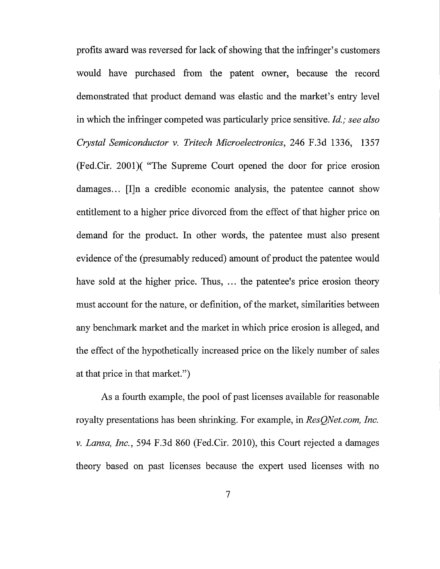profits award was reversed for lack of showing that the infringer's customers would have purchased from the patent owner, because the record demonstrated that product demand was elastic and the market's entry level in which the infringer competed was particularly price sensitive. *Id.; see also Crystal Semiconductor v. Tritech Microelectronics,* 246 F.3d 1336, 1357 (Fed.Cir. 2001)( "The Supreme Court opened the door for price erosion damages... [I]n a credible economic analysis, the patentee cannot show entitlement to a higher price divorced from the effect of that higher price on demand for the product. In other words, the patentee must also present evidence of the (presumably reduced) amount of product the patentee would have sold at the higher price. Thus, ... the patentee's price erosion theory must account for the nature, or definition, of the market, similarities between any benchmark market and the market in which price erosion is alleged, and the effect of the hypothetically increased price on the likely number of sales at that price in that market.")

As a fourth example, the pool of past licenses available for reasonable royalty presentations has been shrinking. For example, in *ResQNet.com, Inc. v. Lansa, Inc.,* 594 F.3d 860 (Fed.Cir. 2010), this Court rejected a damages theory based on past licenses because the expert used licenses with no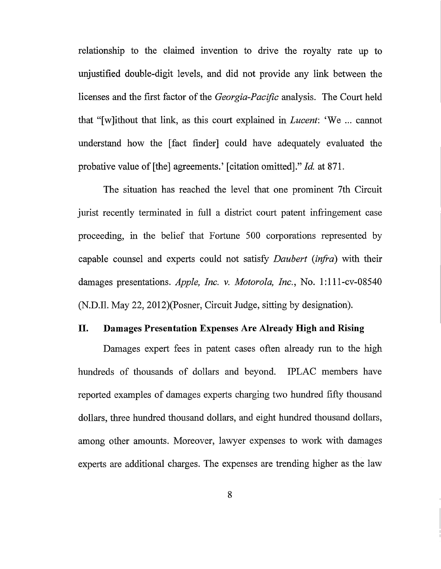relationship to the claimed invention to drive the royalty rate up to unjustified double-digit levels, and did not provide any link between the licenses and the first factor of the *Georgia-Pacific* analysis. The Court held that "[w]ithout that link, as this court explained in *Lucent:* 'We ... cannot understand how the [fact finder] could have adequately evaluated the probative value of [the] agreements.' [citation omitted]." *!d.* at 871.

The situation has reached the level that one prominent 7th Circuit jurist recently terminated in full a district court patent infringement case proceeding, in the belief that Fortune 500 corporations represented by capable counsel and experts could not satisfy *Daubert (infra)* with their damages presentations. *Apple, Inc. v. Motorola, Inc.*, No. 1:111-cv-08540 (N.D.Il. May 22, 2012)(Posner, Circuit Judge, sitting by designation).

#### II. Damages Presentation Expenses Are Already High and Rising

Damages expert fees in patent cases often already run to the high hundreds of thousands of dollars and beyond. IPLAC members have reported examples of damages experts charging two hundred fifty thousand dollars, three hundred thousand dollars, and eight hundred thousand dollars, among other amounts. Moreover, lawyer expenses to work with damages experts are additional charges. The expenses are trending higher as the law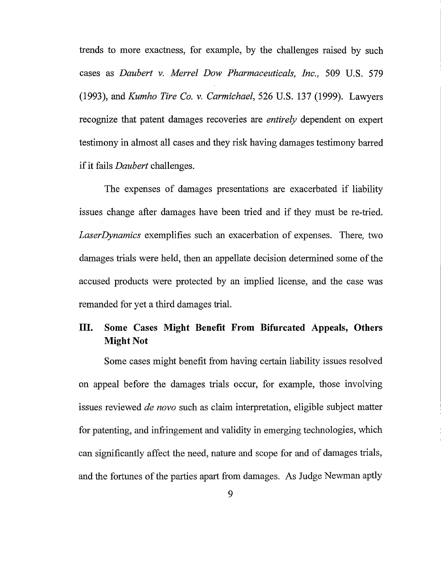trends to more exactness, for example, by the challenges raised by such cases as *Daubert v. Merrel Dow Pharmaceuticals, Inc.,* 509 U.S. 579 (1993), and *Kumho Tire Co. v. Carmichael,* 526 U.S. 137 (1999). Lawyers recognize that patent damages recoveries are *entirely* dependent on expert testimony in almost all cases and they risk having damages testimony barred if it fails *Daubert* challenges.

The expenses of damages presentations are exacerbated if liability issues change after damages have been tried and if they must be re-tried. *LaserDynamics* exemplifies such an exacerbation of expenses. There, two damages trials were held, then an appellate decision determined some of the accused products were protected by an implied license, and the case was remanded for yet a third damages trial.

## **III. Some Cases Might Benefit From Bifurcated Appeals, Others Might Not**

Some cases might benefit from having certain liability issues resolved on appeal before the damages trials occur, for example, those involving issues reviewed *de novo* such as claim interpretation, eligible subject matter for patenting, and infringement and validity in emerging technologies, which can significantly affect the need, nature and scope for and of damages trials, and the fortunes of the parties apart from damages. As Judge Newman aptly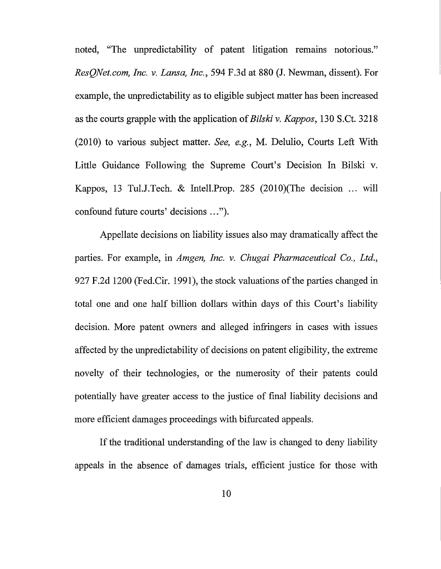noted, "The unpredictability of patent litigation remams notorious." *ResQNet.com, Inc. v. Lansa, Inc.,* 594 F.3d at 880 (J. Newman, dissent). For example, the unpredictability as to eligible subject matter has been increased as the courts grapple with the application of *Bilski v. Kappas,* 130 S.Ct. 3218 (2010) to various subject matter. *See, e.g.,* M. Delulio, Courts Left With Little Guidance Following the Supreme Court's Decision In Bilski v. Kappos, 13 Tul.J.Tech. & Intell.Prop. 285 (2010)(The decision ... will confound future courts' decisions ... ").

Appellate decisions on liability issues also may dramatically affect the parties. For example, in *Amgen, Inc. v. Chugai Pharmaceutical Co., Ltd.,*  927 F.2d 1200 (Fed.Cir. 1991), the stock valuations of the parties changed in total one and one half billion dollars within days of this Court's liability decision. More patent owners and alleged infringers in cases with issues affected by the unpredictability of decisions on patent eligibility, the extreme novelty of their technologies, or the numerosity of their patents could potentially have greater access to the justice of final liability decisions and more efficient damages proceedings with bifurcated appeals.

If the traditional understanding of the law is changed to deny liability appeals in the absence of damages trials, efficient justice for those with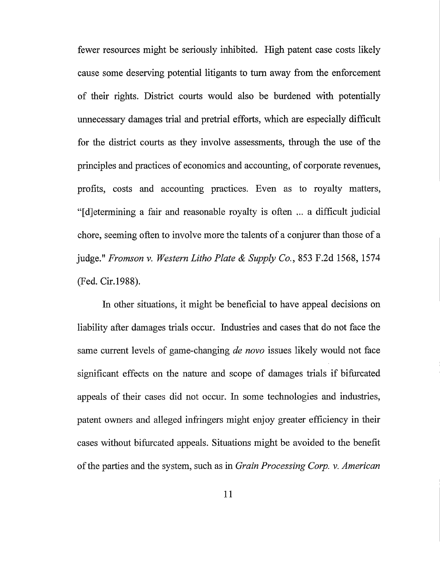fewer resources might be seriously inhibited. High patent case costs likely cause some deserving potential litigants to tum away from the enforcement of their rights. District courts would also be burdened with potentially unnecessary damages trial and pretrial efforts, which are especially difficult for the district courts as they involve assessments, through the use of the principles and practices of economics and accounting, of corporate revenues, profits, costs and accounting practices. Even as to royalty matters, "[ d]etermining a fair and reasonable royalty is often ... a difficult judicial chore, seeming often to involve more the talents of a conjurer than those of a judge." *Fromson v. Western Litho Plate* & *Supply Co.,* 853 F.2d 1568, 1574 (Fed. Cir.l988).

In other situations, it might be beneficial to have appeal decisions on liability after damages trials occur. Industries and cases that do not face the same current levels of game-changing *de novo* issues likely would not face significant effects on the nature and scope of damages trials if bifurcated appeals of their cases did not occur. In some technologies and industries, patent owners and alleged infringers might enjoy greater efficiency in their cases without bifurcated appeals. Situations might be avoided to the benefit of the parties and the system, such as in *Grain Processing Corp. v. American*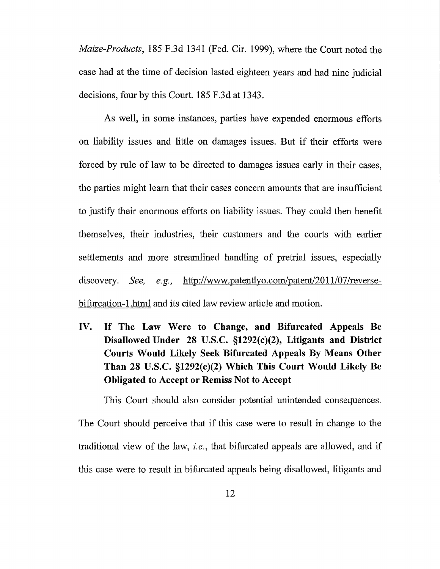*Maize-Products,* 185 F.3d 1341 (Fed. Cir. 1999), where the Court noted the case had at the time of decision lasted eighteen years and had nine judicial decisions, four by this Court. 185 F.3d at 1343.

As well, in some instances, parties have expended enormous efforts on liability issues and little on damages issues. But if their efforts were forced by rule of law to be directed to damages issues early in their cases, the parties might learn that their cases concern amounts that are insufficient to justify their enormous efforts on liability issues. They could then benefit themselves, their industries, their customers and the courts with earlier settlements and more streamlined handling of pretrial issues, especially discovery. *See, e.g.*, http://www.patentlyo.com/patent/2011/07/reversebifurcation-1.html and its cited law review article and motion.

**IV. If The Law Were to Change, and Bifurcated Appeals Be Disallowed Under 28 U.S.C. §1292(c)(2), Litigants and District Courts Would Likely Seek Bifurcated Appeals By Means Other Than 28 U.S.C. §1292(c)(2) Which This Court Would Likely Be Obligated to Accept or Remiss Not to Accept** 

This Court should also consider potential unintended consequences. The Court should perceive that if this case were to result in change to the traditional view of the law, *i.e.,* that bifurcated appeals are allowed, and if this case were to result in bifurcated appeals being disallowed, litigants and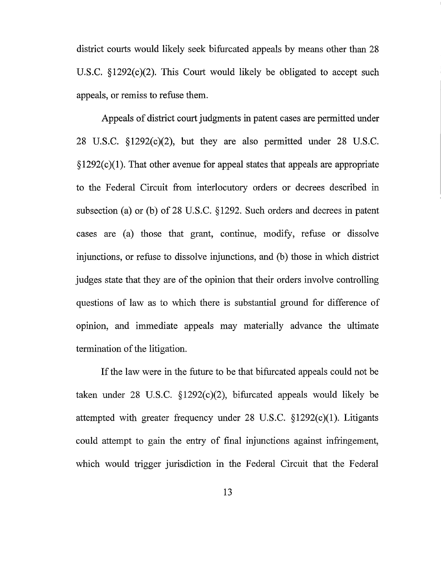district courts would likely seek bifurcated appeals by means other than 28 U.S.C.  $\S 1292(c)(2)$ . This Court would likely be obligated to accept such appeals, or remiss to refuse them.

Appeals of district court judgments in patent cases are permitted under 28 U.S.C.  $\S 1292(c)(2)$ , but they are also permitted under 28 U.S.C.  $\S 1292(c)(1)$ . That other avenue for appeal states that appeals are appropriate to the Federal Circuit from interlocutory orders or decrees described in subsection (a) or (b) of 28 U.S.C.  $\S 1292$ . Such orders and decrees in patent cases are (a) those that grant, continue, modify, refuse or dissolve injunctions, or refuse to dissolve injunctions, and (b) those in which district judges state that they are of the opinion that their orders involve controlling questions of law as to which there is substantial ground for difference of opinion, and immediate appeals may materially advance the ultimate termination of the litigation.

If the law were in the future to be that bifurcated appeals could not be taken under 28 U.S.C.  $\S 1292(c)(2)$ , bifurcated appeals would likely be attempted with greater frequency under 28 U.S.C. §1292(c)(1). Litigants could attempt to gain the entry of final injunctions against infringement, which would trigger jurisdiction in the Federal Circuit that the Federal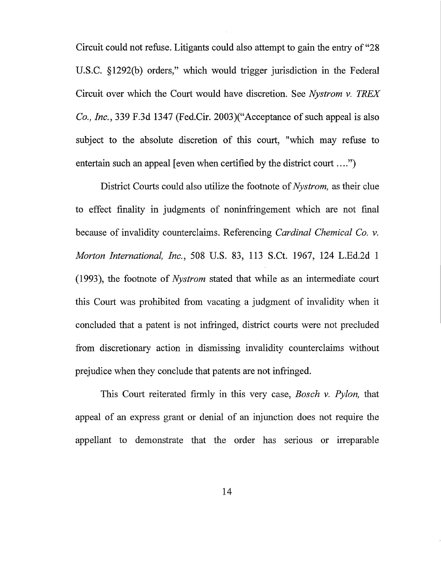Circuit could not refuse. Litigants could also attempt to gain the entry of "28 U.S.C. § 1292(b) orders," which would trigger jurisdiction in the Federal Circuit over which the Court would have discretion. See *Nystrom v. TREX Co., Inc.,* 339 F.3d 1347 {Fed.Cir. 2003)("Acceptance of such appeal is also subject to the absolute discretion of this court, "which may refuse to entertain such an appeal [even when certified by the district court ....")

District Courts could also utilize the footnote of *Nystrom,* as their clue to effect finality in judgments of noninfringement which are not final because of invalidity counterclaims. Referencing *Cardinal Chemical Co. v. Morton International, Inc.,* 508 U.S. 83, 113 S.Ct. 1967, 124 L.Ed.2d 1 (1993), the footnote of *Nystrom* stated that while as an intermediate court this Court was prohibited from vacating a judgment of invalidity when it concluded that a patent is not infringed, district courts were not precluded from discretionary action in dismissing invalidity counterclaims without prejudice when they conclude that patents are not infringed.

This Court reiterated firmly in this very case, *Bosch v. Pylon,* that appeal of an express grant or denial of an injunction does not require the appellant to demonstrate that the order has serious or irreparable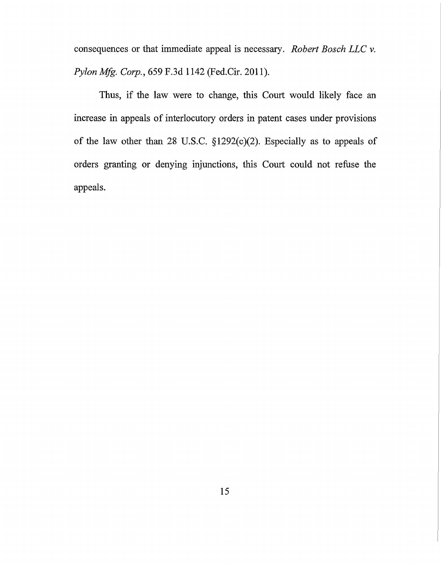consequences or that immediate appeal is necessary. *Robert Bosch LLC v. Pylon Mfg. Corp.,* 659 F.3d 1142 (Fed.Cir. 2011).

Thus, if the law were to change, this Court would likely face an increase in appeals of interlocutory orders in patent cases under provisions of the law other than 28 U.S.C.  $\S 1292(c)(2)$ . Especially as to appeals of orders granting or denying injunctions, this Court could not refuse the appeals.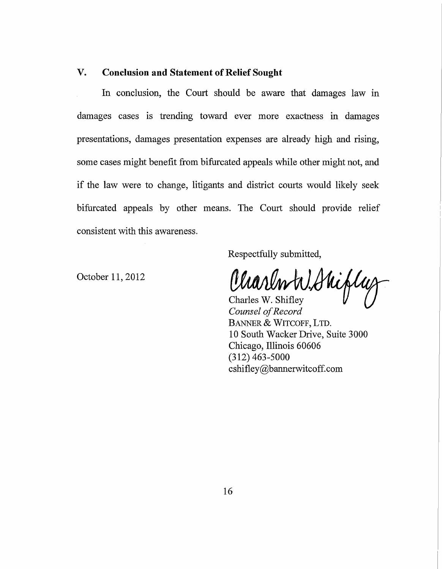## **V. Conclusion and Statement of Relief Sought**

In conclusion, the Court should be aware that damages law in damages cases is trending toward ever more exactness in damages presentations, damages presentation expenses are already high and rising, some cases might benefit from bifurcated appeals while other might not, and if the law were to change, litigants and district courts would likely seek bifurcated appeals by other means. The Court should provide relief consistent with this awareness.

Respectfully submitted,

October **11,** 2012

Charlon W. Shifley

*Counsel of Record*  BANNER & WITCOFF, LTD. **10** South Wacker Drive, Suite 3000 Chicago, Illinois 60606 (312) 463-5000 cshifley@bannerwitcoff.com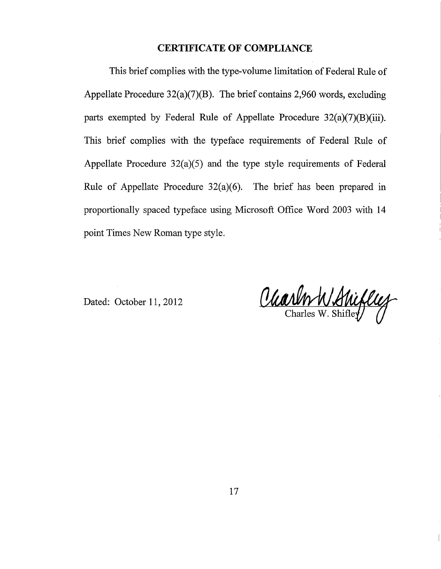## **CERTIFICATE OF COMPLIANCE**

This brief complies with the type-volume limitation of Federal Rule of Appellate Procedure 32(a)(7)(B). The brief contains 2,960 words, excluding parts exempted by Federal Rule of Appellate Procedure 32(a)(7)(B)(iii). This brief complies with the typeface requirements of Federal Rule of Appellate Procedure 32(a)(5) and the type style requirements of Federal Rule of Appellate Procedure 32(a)(6). The brief has been prepared in proportionally spaced typeface using Microsoft Office Word 2003 with 14 point Times New Roman type style.

Dated: October 11, 2012

Charlo W. Shirley